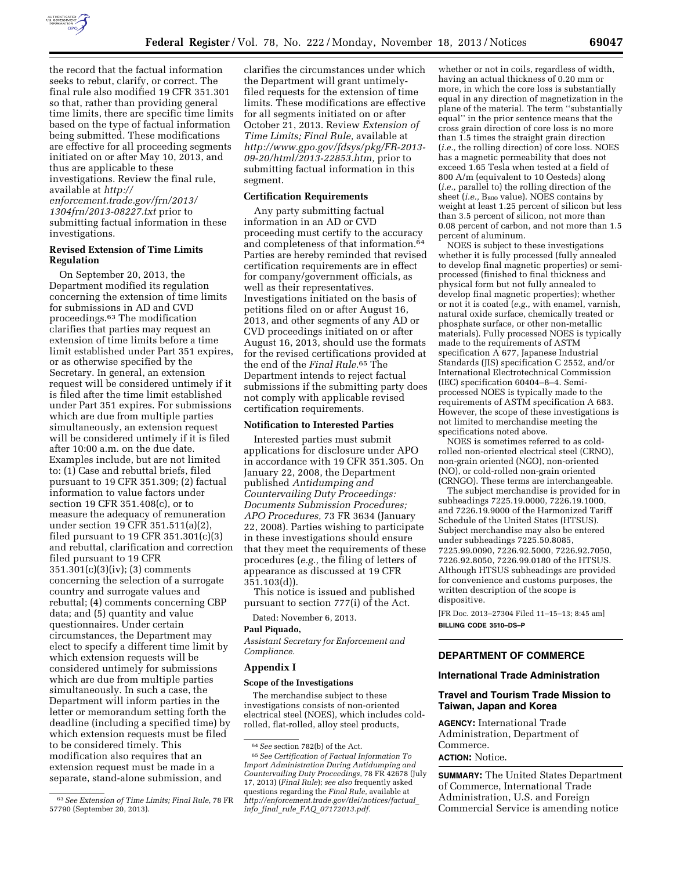

the record that the factual information seeks to rebut, clarify, or correct. The final rule also modified 19 CFR 351.301 so that, rather than providing general time limits, there are specific time limits based on the type of factual information being submitted. These modifications are effective for all proceeding segments initiated on or after May 10, 2013, and thus are applicable to these investigations. Review the final rule, available at *[http://](http://enforcement.trade.gov/frn/2013/1304frn/2013-08227.txt)*

*[enforcement.trade.gov/frn/2013/](http://enforcement.trade.gov/frn/2013/1304frn/2013-08227.txt) [1304frn/2013-08227.txt](http://enforcement.trade.gov/frn/2013/1304frn/2013-08227.txt)* prior to submitting factual information in these investigations.

### **Revised Extension of Time Limits Regulation**

On September 20, 2013, the Department modified its regulation concerning the extension of time limits for submissions in AD and CVD proceedings.63 The modification clarifies that parties may request an extension of time limits before a time limit established under Part 351 expires, or as otherwise specified by the Secretary. In general, an extension request will be considered untimely if it is filed after the time limit established under Part 351 expires. For submissions which are due from multiple parties simultaneously, an extension request will be considered untimely if it is filed after 10:00 a.m. on the due date. Examples include, but are not limited to: (1) Case and rebuttal briefs, filed pursuant to 19 CFR 351.309; (2) factual information to value factors under section 19 CFR 351.408(c), or to measure the adequacy of remuneration under section 19 CFR 351.511(a)(2), filed pursuant to 19 CFR  $351.301(c)(3)$ and rebuttal, clarification and correction filed pursuant to 19 CFR 351.301(c)(3)(iv); (3) comments concerning the selection of a surrogate country and surrogate values and rebuttal; (4) comments concerning CBP data; and (5) quantity and value questionnaires. Under certain circumstances, the Department may elect to specify a different time limit by which extension requests will be considered untimely for submissions which are due from multiple parties simultaneously. In such a case, the Department will inform parties in the letter or memorandum setting forth the deadline (including a specified time) by which extension requests must be filed to be considered timely. This modification also requires that an extension request must be made in a separate, stand-alone submission, and

clarifies the circumstances under which the Department will grant untimelyfiled requests for the extension of time limits. These modifications are effective for all segments initiated on or after October 21, 2013. Review *Extension of Time Limits; Final Rule,* available at *[http://www.gpo.gov/fdsys/pkg/FR-2013-](http://www.gpo.gov/fdsys/pkg/FR-2013-09-20/html/2013-22853.htm) [09-20/html/2013-22853.htm,](http://www.gpo.gov/fdsys/pkg/FR-2013-09-20/html/2013-22853.htm)* prior to submitting factual information in this segment.

#### **Certification Requirements**

Any party submitting factual information in an AD or CVD proceeding must certify to the accuracy and completeness of that information.64 Parties are hereby reminded that revised certification requirements are in effect for company/government officials, as well as their representatives. Investigations initiated on the basis of petitions filed on or after August 16, 2013, and other segments of any AD or CVD proceedings initiated on or after August 16, 2013, should use the formats for the revised certifications provided at the end of the *Final Rule.*65 The Department intends to reject factual submissions if the submitting party does not comply with applicable revised certification requirements.

#### **Notification to Interested Parties**

Interested parties must submit applications for disclosure under APO in accordance with 19 CFR 351.305. On January 22, 2008, the Department published *Antidumping and Countervailing Duty Proceedings: Documents Submission Procedures; APO Procedures,* 73 FR 3634 (January 22, 2008). Parties wishing to participate in these investigations should ensure that they meet the requirements of these procedures (*e.g.,* the filing of letters of appearance as discussed at 19 CFR 351.103(d)).

This notice is issued and published pursuant to section 777(i) of the Act.

Dated: November 6, 2013.

# **Paul Piquado,**

*Assistant Secretary for Enforcement and Compliance.* 

#### **Appendix I**

#### **Scope of the Investigations**

The merchandise subject to these investigations consists of non-oriented electrical steel (NOES), which includes coldrolled, flat-rolled, alloy steel products,

whether or not in coils, regardless of width, having an actual thickness of 0.20 mm or more, in which the core loss is substantially equal in any direction of magnetization in the plane of the material. The term ''substantially equal'' in the prior sentence means that the cross grain direction of core loss is no more than 1.5 times the straight grain direction (*i.e.,* the rolling direction) of core loss. NOES has a magnetic permeability that does not exceed 1.65 Tesla when tested at a field of 800 A/m (equivalent to 10 Oesteds) along (*i.e.,* parallel to) the rolling direction of the sheet (*i.e.*, B<sub>800</sub> value). NOES contains by weight at least 1.25 percent of silicon but less than 3.5 percent of silicon, not more than 0.08 percent of carbon, and not more than 1.5 percent of aluminum.

NOES is subject to these investigations whether it is fully processed (fully annealed to develop final magnetic properties) or semiprocessed (finished to final thickness and physical form but not fully annealed to develop final magnetic properties); whether or not it is coated (*e.g.,* with enamel, varnish, natural oxide surface, chemically treated or phosphate surface, or other non-metallic materials). Fully processed NOES is typically made to the requirements of ASTM specification A 677, Japanese Industrial Standards (JIS) specification C 2552, and/or International Electrotechnical Commission (IEC) specification 60404–8–4. Semiprocessed NOES is typically made to the requirements of ASTM specification A 683. However, the scope of these investigations is not limited to merchandise meeting the specifications noted above.

NOES is sometimes referred to as coldrolled non-oriented electrical steel (CRNO), non-grain oriented (NGO), non-oriented (NO), or cold-rolled non-grain oriented (CRNGO). These terms are interchangeable.

The subject merchandise is provided for in subheadings 7225.19.0000, 7226.19.1000, and 7226.19.9000 of the Harmonized Tariff Schedule of the United States (HTSUS). Subject merchandise may also be entered under subheadings 7225.50.8085, 7225.99.0090, 7226.92.5000, 7226.92.7050, 7226.92.8050, 7226.99.0180 of the HTSUS. Although HTSUS subheadings are provided for convenience and customs purposes, the written description of the scope is dispositive.

[FR Doc. 2013–27304 Filed 11–15–13; 8:45 am] **BILLING CODE 3510–DS–P** 

### **DEPARTMENT OF COMMERCE**

# **International Trade Administration**

# **Travel and Tourism Trade Mission to Taiwan, Japan and Korea**

**AGENCY:** International Trade Administration, Department of Commerce. **ACTION:** Notice.

**SUMMARY:** The United States Department of Commerce, International Trade Administration, U.S. and Foreign Commercial Service is amending notice

<sup>63</sup>*See Extension of Time Limits; Final Rule,* 78 FR 57790 (September 20, 2013).

<sup>64</sup>*See* section 782(b) of the Act. 65*See Certification of Factual Information To Import Administration During Antidumping and Countervailing Duty Proceedings,* 78 FR 42678 (July 17, 2013) (*Final Rule*); *see also* frequently asked questions regarding the *Final Rule,* available at *[http://enforcement.trade.gov/tlei/notices/factual](http://enforcement.trade.gov/tlei/notices/factual_info_final_rule_FAQ_07172013.pdf)*\_ *info*\_*final*\_*rule*\_*FAQ*\_*[07172013.pdf.](http://enforcement.trade.gov/tlei/notices/factual_info_final_rule_FAQ_07172013.pdf)*